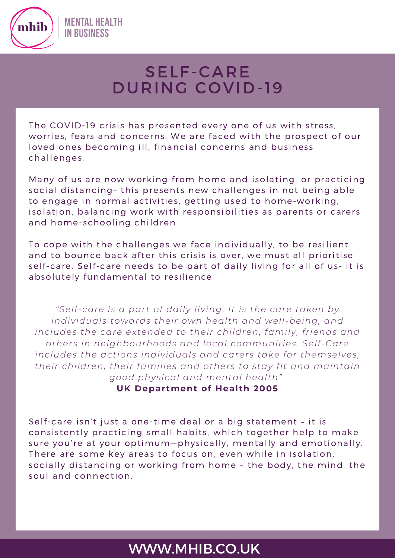

# SELF-CARE DURING COVID-19

The COVID-19 crisis has presented every one of us with stress, worries, fears and concerns. We are faced with the prospect of our loved ones becoming ill, financial concerns and business challenges.

Many of us are now working from home and isolating, or practicing social distancing– this presents new challenges in not being able to engage in normal activities, getting used to home-working, isolation, balancing work with responsibilities as parents or carers and home-schooling children.

To cope with the challenges we face individually, to be resilient and to bounce back after this crisis is over, we must all prioritise self-care. Self-care needs to be part of daily living for all of us- it is absolutely fundamental to resilience

*"Self-care is a part of daily living. It is the care taken by individuals towards their own health and well-being, and includes the care extended to their children, family, friends and others in neighbourhoods and local communities. Self-Care includes the actions individuals and carers take for themselves, their children, their families and others to stay fit and maintain good physical and mental health"*

**UK Depar tment of Heal th 2005**

Self-care isn't just a one-time deal or a big statement – it is consistently practicing small habits, which together help to make sure you're at your optimum—physically, mentally and emotionally. There are some key areas to focus on, even while in isolation, socially distancing or working from home – the body, the mind, the soul and connection.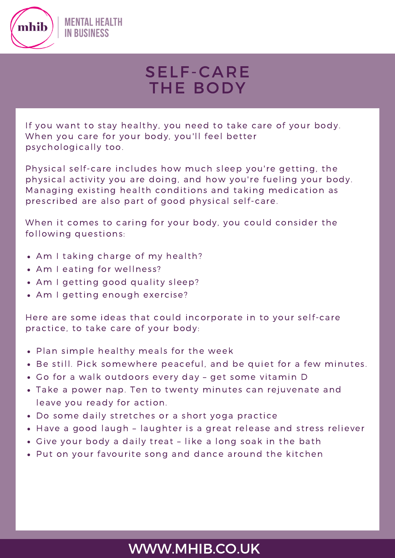

# SELF-CARE THE BODY

If you want to stay healthy, you need to take care of your body. When you care for your body, you'll feel better psychologically too.

Physical self-care includes how much sleep you're getting, the physical activity you are doing, and how you're fueling your body. Managing existing health conditions and taking medication as prescribed are also part of good physical self-care.

When it comes to caring for your body, you could consider the following questions:

- Am I taking charge of my health?
- Am I eating for wellness?
- Am I getting good quality sleep?
- Am I getting enough exercise?

Here are some ideas that could incorporate in to your self-care practice, to take care of your body:

- Plan simple healthy meals for the week
- Be still. Pick somewhere peaceful, and be quiet for a few minutes.
- Go for a walk outdoors every day get some vitamin D
- Take a power nap. Ten to twenty minutes can rejuvenate and leave you ready for action.
- Do some daily stretches or a short yoga practice
- Have a good laugh laughter is a great release and stress reliever
- Give your body a daily treat like a long soak in the bath
- Put on your favourite song and dance around the kitchen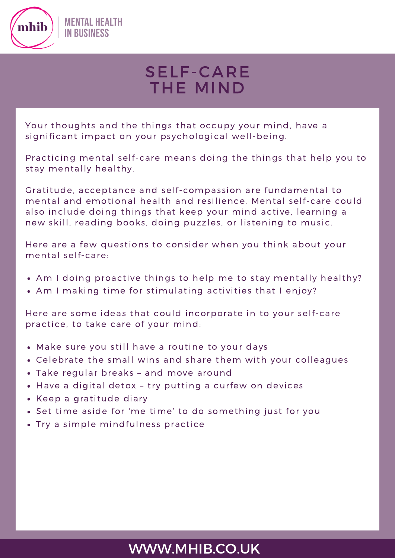

# SELF-CARE THE MIND

Your thoughts and the things that occupy your mind, have a significant impact on your psychological well-being.

Practicing mental self-care means doing the things that help you to stay mentally healthy.

Gratitude, acceptance and self-compassion are fundamental to mental and emotional health and resilience. Mental self-care could also include doing things that keep your mind active, learning a new skill, reading books, doing puzzles, or listening to music.

Here are a few questions to consider when you think about your mental self-care:

- Am I doing proactive things to help me to stay mentally healthy?
- Am I making time for stimulating activities that I enjoy?

Here are some ideas that could incorporate in to your self-care practice, to take care of your mind:

- Make sure you still have a routine to your days
- Celebrate the small wins and share them with your colleagues
- Take regular breaks and move around
- Have a digital detox try putting a curfew on devices
- Keep a gratitude diary
- Set time aside for 'me time' to do something just for you
- Try a simple mindfulness practice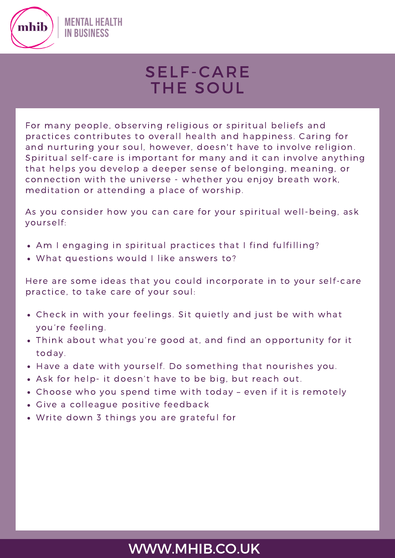

# SELF-CARE THE SOUL

For many people, observing religious or spiritual beliefs and practices contributes to overall health and happiness. Caring for and nurturing your soul, however, doesn't have to involve religion. Spiritual self-care is important for many and it can involve anything that helps you develop a deeper sense of belonging, meaning, or connection with the universe - whether you enjoy breath work, meditation or attending a place of worship.

As you consider how you can care for your spiritual well-being, ask yourself:

- Am I engaging in spiritual practices that I find fulfilling?
- What questions would I like answers to?

Here are some ideas that you could incorporate in to your self-care practice, to take care of your soul:

- Check in with your feelings. Sit quietly and just be with what you're feeling.
- Think about what you're good at, and find an opportunity for it today.
- Have a date with yourself. Do something that nourishes you.
- Ask for help- it doesn't have to be big, but reach out.
- Choose who you spend time with today even if it is remotely
- Give a colleague positive feedback
- Write down 3 things you are grateful for